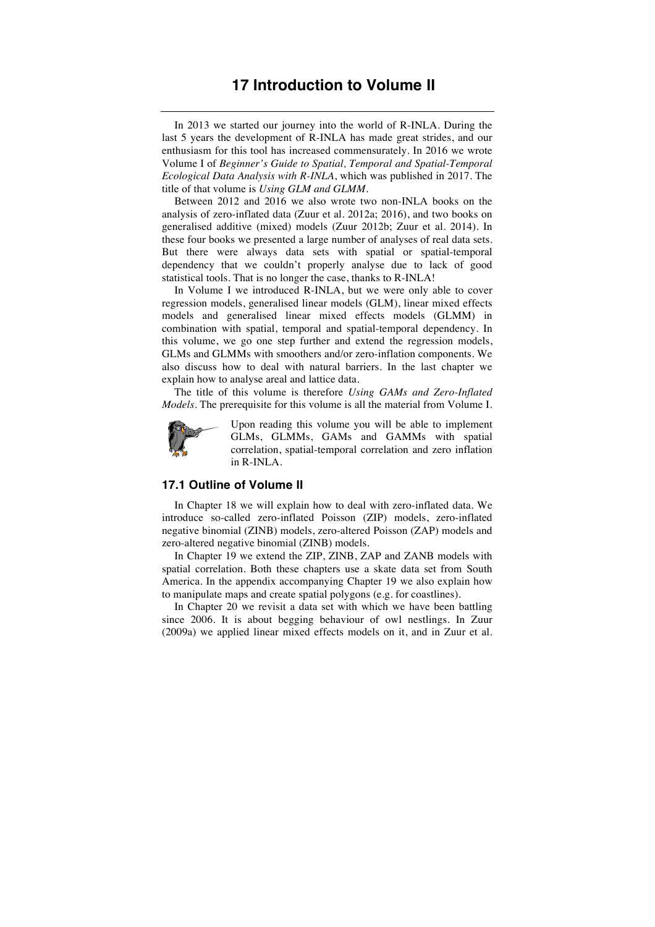## **17 Introduction to Volume II**

In 2013 we started our journey into the world of R-INLA. During the last 5 years the development of R-INLA has made great strides, and our enthusiasm for this tool has increased commensurately. In 2016 we wrote Volume I of *Beginner's Guide to Spatial, Temporal and Spatial-Temporal Ecological Data Analysis with R-INLA*, which was published in 2017. The title of that volume is *Using GLM and GLMM*.

Between 2012 and 2016 we also wrote two non-INLA books on the analysis of zero-inflated data (Zuur et al. 2012a; 2016), and two books on generalised additive (mixed) models (Zuur 2012b; Zuur et al. 2014). In these four books we presented a large number of analyses of real data sets. But there were always data sets with spatial or spatial-temporal dependency that we couldn't properly analyse due to lack of good statistical tools. That is no longer the case, thanks to R-INLA!

In Volume I we introduced R-INLA, but we were only able to cover regression models, generalised linear models (GLM), linear mixed effects models and generalised linear mixed effects models (GLMM) in combination with spatial, temporal and spatial-temporal dependency. In this volume, we go one step further and extend the regression models, GLMs and GLMMs with smoothers and/or zero-inflation components. We also discuss how to deal with natural barriers. In the last chapter we explain how to analyse areal and lattice data.

The title of this volume is therefore *Using GAMs and Zero-Inflated Models*. The prerequisite for this volume is all the material from Volume I.



Upon reading this volume you will be able to implement GLMs, GLMMs, GAMs and GAMMs with spatial correlation, spatial-temporal correlation and zero inflation in R-INLA.

## **17.1 Outline of Volume II**

In Chapter 18 we will explain how to deal with zero-inflated data. We introduce so-called zero-inflated Poisson (ZIP) models, zero-inflated negative binomial (ZINB) models, zero-altered Poisson (ZAP) models and zero-altered negative binomial (ZINB) models.

In Chapter 19 we extend the ZIP, ZINB, ZAP and ZANB models with spatial correlation. Both these chapters use a skate data set from South America. In the appendix accompanying Chapter 19 we also explain how to manipulate maps and create spatial polygons (e.g. for coastlines).

In Chapter 20 we revisit a data set with which we have been battling since 2006. It is about begging behaviour of owl nestlings. In Zuur (2009a) we applied linear mixed effects models on it, and in Zuur et al.